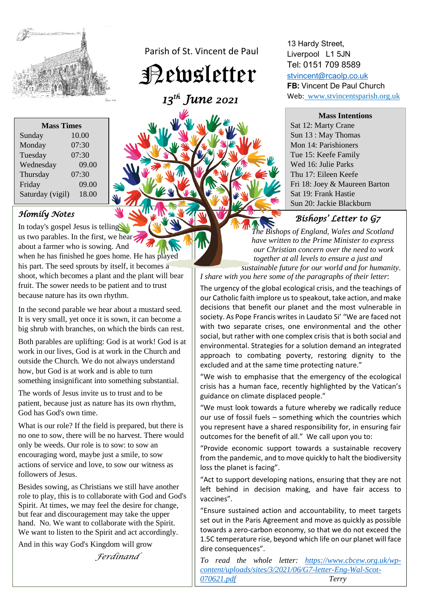

| <b>Mass Times</b> |       |
|-------------------|-------|
| Sunday            | 10.00 |
| Monday            | 07:30 |
| Tuesday           | 07:30 |
| Wednesday         | 09.00 |
| Thursday          | 07:30 |
| Friday            | 09.00 |
| Saturday (vigil)  | 18.00 |

## *Homily Notes*

In today's gospel Jesus is telling us two parables. In the first, we hear about a farmer who is sowing. And when he has finished he goes home. He has played his part. The seed sprouts by itself, it becomes a shoot, which becomes a plant and the plant will bear fruit. The sower needs to be patient and to trust because nature has its own rhythm.

In the second parable we hear about a mustard seed. It is very small, yet once it is sown, it can become a big shrub with branches, on which the birds can rest.

Both parables are uplifting: God is at work! God is at work in our lives, God is at work in the Church and outside the Church. We do not always understand how, but God is at work and is able to turn something insignificant into something substantial.

The words of Jesus invite us to trust and to be patient, because just as nature has its own rhythm, God has God's own time.

What is our role? If the field is prepared, but there is no one to sow, there will be no harvest. There would only be weeds. Our role is to sow: to sow an encouraging word, maybe just a smile, to sow actions of service and love, to sow our witness as followers of Jesus.

Besides sowing, as Christians we still have another role to play, this is to collaborate with God and God's Spirit. At times, we may feel the desire for change, but fear and discouragement may take the upper hand. No. We want to collaborate with the Spirit. We want to listen to the Spirit and act accordingly.

And in this way God's Kingdom will grow

*Ferdinand*

Parish of St. Vincent de Paul

Newsletter

 *13th June 2021* 



13 Hardy Street, Liverpool L1 5JN Tel: 0151 709 8589 [stvincent@rcaolp.co.uk](mailto:stvincent@rcaolp.co.uk) **FB:** Vincent De Paul Church

Web: www.stvincentsparish.org.uk

**Mass Intentions**

Sat 12: Marty Crane Sun 13 : May Thomas Mon 14: Parishioners Tue 15: Keefe Family Wed 16: Julie Parks Thu 17: Eileen Keefe Fri 18: Joey & Maureen Barton Sat 19: Frank Hastie Sun 20: Jackie Blackburn

## *Bishops' Letter to G7*

 *The Bishops of England, Wales and Scotland have written to the Prime Minister to express our Christian concern over the need to work together at all levels to ensure a just and sustainable future for our world and for humanity*.

*I share with you here some of the paragraphs of their letter*:

The urgency of the global ecological crisis, and the teachings of our Catholic faith implore us to speakout, take action, and make decisions that benefit our planet and the most vulnerable in society. As Pope Francis writes in Laudato Si' "We are faced not with two separate crises, one environmental and the other social, but rather with one complex crisis that is both social and environmental. Strategies for a solution demand an integrated approach to combating poverty, restoring dignity to the excluded and at the same time protecting nature."

"We wish to emphasise that the emergency of the ecological crisis has a human face, recently highlighted by the Vatican's guidance on climate displaced people."

"We must look towards a future whereby we radically reduce our use of fossil fuels – something which the countries which you represent have a shared responsibility for, in ensuring fair outcomes for the benefit of all." We call upon you to:

"Provide economic support towards a sustainable recovery from the pandemic, and to move quickly to halt the biodiversity loss the planet is facing".

"Act to support developing nations, ensuring that they are not left behind in decision making, and have fair access to vaccines".

"Ensure sustained action and accountability, to meet targets set out in the Paris Agreement and move as quickly as possible towards a zero-carbon economy, so that we do not exceed the 1.5C temperature rise, beyond which life on our planet will face dire consequences".

*To read the whole letter: [https://www.cbcew.org.uk/wp](https://www.cbcew.org.uk/wp-content/uploads/sites/3/2021/06/G7-letter-Eng-Wal-Scot-070621.pdf)[content/uploads/sites/3/2021/06/G7-letter-Eng-Wal-Scot-](https://www.cbcew.org.uk/wp-content/uploads/sites/3/2021/06/G7-letter-Eng-Wal-Scot-070621.pdf)[070621.pdf](https://www.cbcew.org.uk/wp-content/uploads/sites/3/2021/06/G7-letter-Eng-Wal-Scot-070621.pdf) Terry*